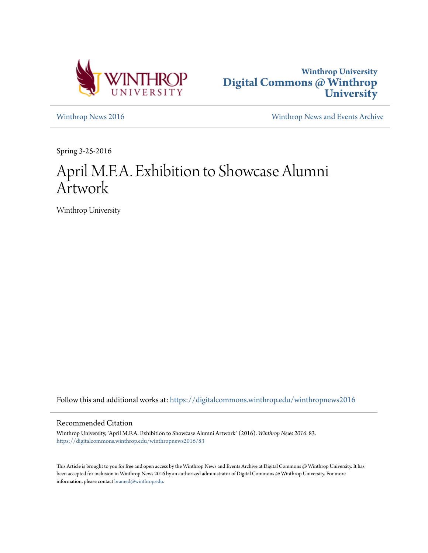



[Winthrop News 2016](https://digitalcommons.winthrop.edu/winthropnews2016?utm_source=digitalcommons.winthrop.edu%2Fwinthropnews2016%2F83&utm_medium=PDF&utm_campaign=PDFCoverPages) [Winthrop News and Events Archive](https://digitalcommons.winthrop.edu/winthropnewsarchives?utm_source=digitalcommons.winthrop.edu%2Fwinthropnews2016%2F83&utm_medium=PDF&utm_campaign=PDFCoverPages)

Spring 3-25-2016

# April M.F.A. Exhibition to Showcase Alumni Artwork

Winthrop University

Follow this and additional works at: [https://digitalcommons.winthrop.edu/winthropnews2016](https://digitalcommons.winthrop.edu/winthropnews2016?utm_source=digitalcommons.winthrop.edu%2Fwinthropnews2016%2F83&utm_medium=PDF&utm_campaign=PDFCoverPages)

### Recommended Citation

Winthrop University, "April M.F.A. Exhibition to Showcase Alumni Artwork" (2016). *Winthrop News 2016*. 83. [https://digitalcommons.winthrop.edu/winthropnews2016/83](https://digitalcommons.winthrop.edu/winthropnews2016/83?utm_source=digitalcommons.winthrop.edu%2Fwinthropnews2016%2F83&utm_medium=PDF&utm_campaign=PDFCoverPages)

This Article is brought to you for free and open access by the Winthrop News and Events Archive at Digital Commons @ Winthrop University. It has been accepted for inclusion in Winthrop News 2016 by an authorized administrator of Digital Commons @ Winthrop University. For more information, please contact [bramed@winthrop.edu](mailto:bramed@winthrop.edu).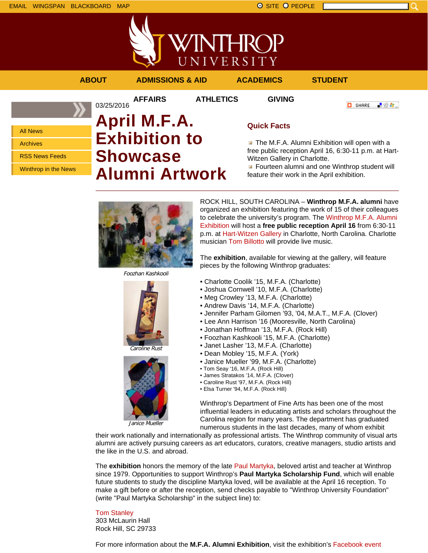

03/25/2016

**AFFAIRS ATHLETICS GIVING**

**ABOUT ADMISSIONS & AID ACADEMICS STUDENT**

**C** SHARE

- 89 年 -

All News Archives

RSS News Feeds

Winthrop in the News

## **April M.F.A. Exhibition to Showcase Alumni Artwork**

### **Quick Facts**

**The M.F.A. Alumni Exhibition will open with a** free public reception April 16, 6:30-11 p.m. at Hart-Witzen Gallery in Charlotte.

**Fourteen alumni and one Winthrop student will** feature their work in the April exhibition.



Foozhan Kashkooli





Janice Mueller

ROCK HILL, SOUTH CAROLINA – **Winthrop M.F.A. alumni** have organized an exhibition featuring the work of 15 of their colleagues to celebrate the university's program. The Winthrop M.F.A. Alumni Exhibition will host a **free public reception April 16** from 6:30-11 p.m. at Hart-Witzen Gallery in Charlotte, North Carolina. Charlotte musician Tom Billotto will provide live music.

The **exhibition**, available for viewing at the gallery, will feature pieces by the following Winthrop graduates:

- Charlotte Coolik '15, M.F.A. (Charlotte)
- Joshua Cornwell '10, M.F.A. (Charlotte)
- Meg Crowley '13, M.F.A. (Charlotte)
- Andrew Davis '14, M.F.A. (Charlotte)
- Jennifer Parham Gilomen '93, '04, M.A.T., M.F.A. (Clover)
- Lee Ann Harrison '16 (Mooresville, North Carolina)
- Jonathan Hoffman '13, M.F.A. (Rock Hill)
- Foozhan Kashkooli '15, M.F.A. (Charlotte)
- Janet Lasher '13, M.F.A. (Charlotte)
- Dean Mobley '15, M.F.A. (York)
- Janice Mueller '99, M.F.A. (Charlotte)
- Tom Seay '16, M.F.A. (Rock Hill)
- James Stratakos '14, M.F.A. (Clover)
- Caroline Rust '97, M.F.A. (Rock Hill)
- Elsa Turner '94, M.F.A. (Rock Hill)

Winthrop's Department of Fine Arts has been one of the most influential leaders in educating artists and scholars throughout the Carolina region for many years. The department has graduated numerous students in the last decades, many of whom exhibit

their work nationally and internationally as professional artists. The Winthrop community of visual arts alumni are actively pursuing careers as art educators, curators, creative managers, studio artists and the like in the U.S. and abroad.

The **exhibition** honors the memory of the late Paul Martyka, beloved artist and teacher at Winthrop since 1979. Opportunities to support Winthrop's **Paul Martyka Scholarship Fund**, which will enable future students to study the discipline Martyka loved, will be available at the April 16 reception. To make a gift before or after the reception, send checks payable to "Winthrop University Foundation" (write "Paul Martyka Scholarship" in the subject line) to:

## Tom Stanley

303 McLaurin Hall Rock Hill, SC 29733

For more information about the **M.F.A. Alumni Exhibition**, visit the exhibition's Facebook event